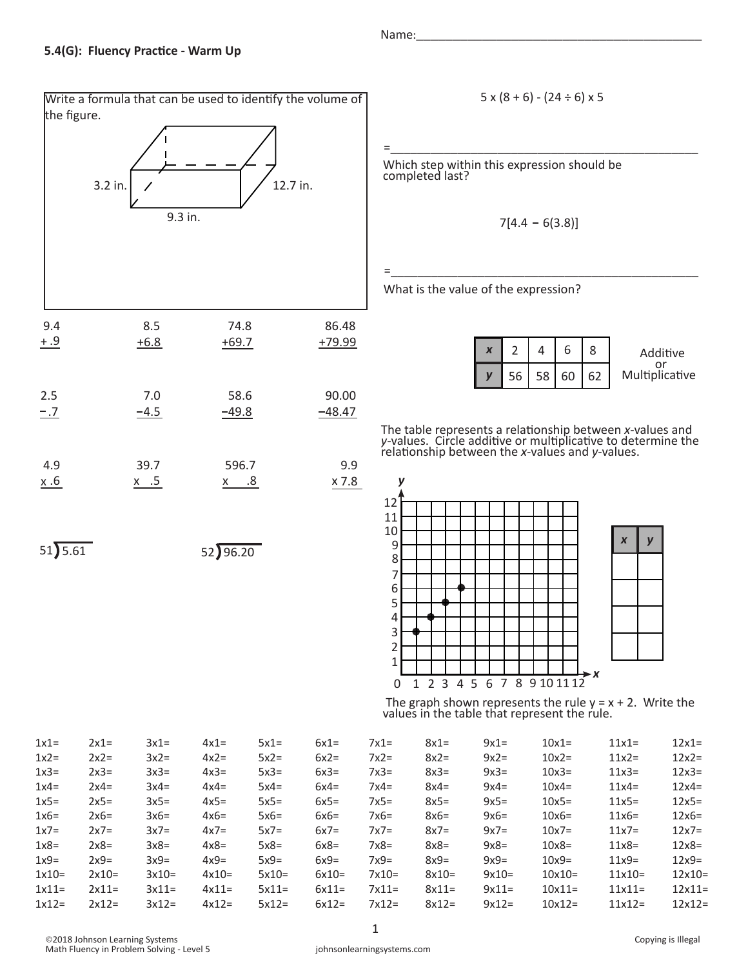Write a formula that can be used to identify the volume of the figure. 12.7 in. 9.3 in. 3.2 in. 9.4 8.5 +6.8 74.8 +69.7 86.48 +79.99 2.5 7.0  $-4.5$  58.6  $-49.8$  90.00  $-1.7$   $-4.5$   $-49.8$   $-48.47$ 4.9  $x.6$ 39.7  $x$  .5 596.7 x .6 .5 .8 9.9 x 7.8  $51) 5.61$   $52) 96.20$  $+ .9$ 

Name:\_\_\_\_\_\_\_\_\_\_\_\_\_\_\_\_\_\_\_\_\_\_\_\_\_\_\_\_\_\_\_\_\_\_\_\_\_\_\_

$$
5 \times (8 + 6) - (24 \div 6) \times 5
$$

=\_\_\_\_\_\_\_\_\_\_\_\_\_\_\_\_\_\_\_\_\_\_\_\_\_\_\_\_\_\_\_\_\_\_\_\_\_\_\_\_\_\_\_\_\_\_

Which step within this expression should be completed last?

$$
7[4.4 - 6(3.8)]
$$

=\_\_\_\_\_\_\_\_\_\_\_\_\_\_\_\_\_\_\_\_\_\_\_\_\_\_\_\_\_\_\_\_\_\_\_\_\_\_\_\_\_\_\_\_\_\_

What is the value of the expression?

|  | 6             | Addit           |
|--|---------------|-----------------|
|  | $56$ 58 60 62 | or<br>Multiplio |

litive icative

The table represents a relationship between *x*-values and *y-*values. Circle additive or multiplicative to determine the relationship between the *x*-values and *y*-values.



The graph shown represents the rule  $y = x + 2$ . Write the values in the table that represent the rule.

| $1x1=$  | $2x1=$  | $3x1=$  | $4x1=$  | $5x1=$  | $6x1=$  | $7x1=$  | $8x1=$  | $9x1=$  | $10x1=$   | $11x1=$   | $12x1=$  |
|---------|---------|---------|---------|---------|---------|---------|---------|---------|-----------|-----------|----------|
| $1x2=$  | $2x2=$  | $3x2=$  | $4x2=$  | $5x2=$  | $6x2=$  | $7x2=$  | $8x2=$  | $9x2=$  | $10x2=$   | $11x2=$   | $12x2=$  |
| $1x3=$  | $2x3=$  | $3x3=$  | $4x3=$  | $5x3=$  | $6x3=$  | $7x3=$  | $8x3=$  | $9x3=$  | $10x3=$   | $11x3=$   | $12x3=$  |
| $1x4=$  | $2x4=$  | $3x4=$  | $4x4=$  | $5x4=$  | $6x4=$  | $7x4=$  | $8x4=$  | $9x4=$  | $10x4=$   | $11x4=$   | $12x4=$  |
| $1x5=$  | $2x5=$  | $3x5=$  | $4x5=$  | $5x5=$  | $6x5=$  | $7x5=$  | $8x5=$  | $9x5=$  | $10x5=$   | $11x5=$   | $12x5=$  |
| $1x6=$  | $2x6=$  | $3x6=$  | $4x6=$  | $5x6=$  | $6x6=$  | $7x6=$  | $8x6=$  | $9x6=$  | $10x6=$   | $11x6=$   | $12x6=$  |
| $1x7=$  | $2x7=$  | $3x7=$  | $4x7=$  | $5x7=$  | $6x7=$  | $7x7=$  | $8x7=$  | $9x7=$  | $10x7=$   | $11x7=$   | $12x7=$  |
| $1x8=$  | $2x8=$  | $3x8=$  | $4x8=$  | $5x8=$  | $6x8=$  | $7x8=$  | $8x8=$  | $9x8=$  | $10x8=$   | $11x8=$   | $12x8=$  |
| $1x9=$  | $2x9=$  | $3x9=$  | $4x9=$  | $5x9=$  | $6x9=$  | $7x9=$  | $8x9=$  | $9x9=$  | $10x9=$   | $11x9=$   | $12x9=$  |
| $1x10=$ | $2x10=$ | $3x10=$ | $4x10=$ | $5x10=$ | $6x10=$ | $7x10=$ | $8x10=$ | $9x10=$ | $10x10=$  | $11x10=$  | $12x10=$ |
| $1x11=$ | $2x11=$ | $3x11=$ | $4x11=$ | $5x11=$ | $6x11=$ | $7x11=$ | $8x11=$ | $9x11=$ | $10x11 =$ | $11x11 =$ | $12x11=$ |
| $1x12=$ | $2x12=$ | $3x12=$ | $4x12=$ | $5x12=$ | $6x12=$ | $7x12=$ | $8x12=$ | $9x12=$ | $10x12=$  | $11x12=$  | $12x12=$ |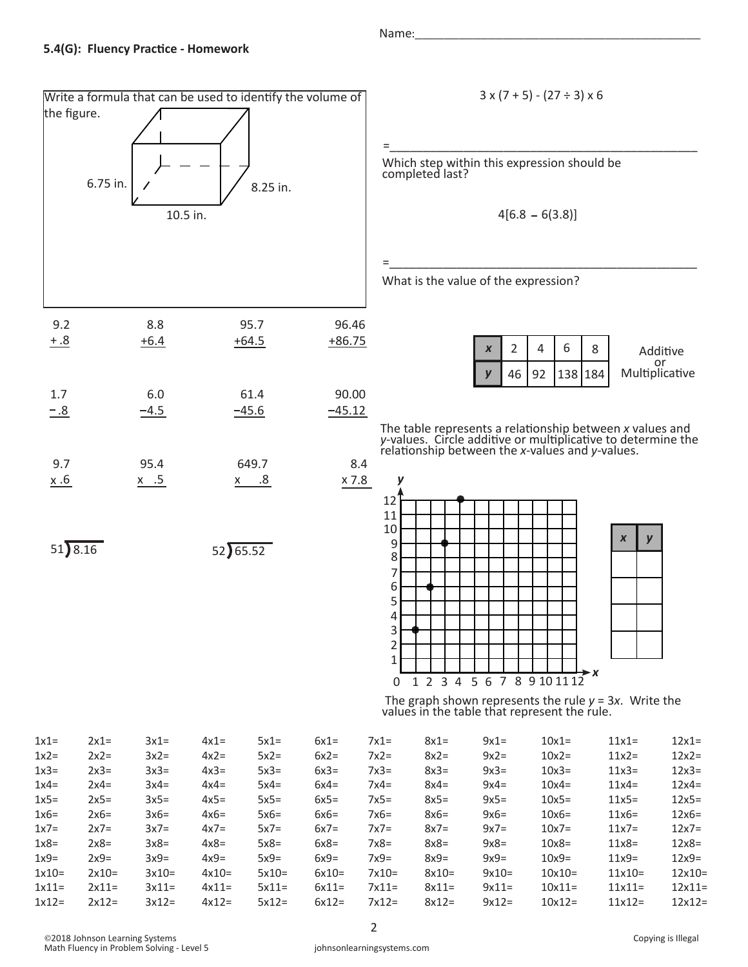

Name:

$$
3 \times (7 + 5) - (27 \div 3) \times 6
$$

=\_\_\_\_\_\_\_\_\_\_\_\_\_\_\_\_\_\_\_\_\_\_\_\_\_\_\_\_\_\_\_\_\_\_\_\_\_\_\_\_\_\_\_\_\_\_

Which step within this expression should be completed last?

 $4[6.8 - 6(3.8)]$ 

=\_\_\_\_\_\_\_\_\_\_\_\_\_\_\_\_\_\_\_\_\_\_\_\_\_\_\_\_\_\_\_\_\_\_\_\_\_\_\_\_\_\_\_\_\_\_

What is the value of the expression?



The table represents a relationship between *x* values and *y-*values. Circle additive or multiplicative to determine the relationship between the *x*-values and *y*-values.



 The graph shown represents the rule *y* = 3*x*. Write the values in the table that represent the rule.

| $2x1=$  | $3x1=$  | $4x1=$  | $5x1=$  | $6x1=$  | $7x1=$  | $8x1=$  | $9x1=$  | $10x1=$  | $11x1=$   | $12x1=$  |
|---------|---------|---------|---------|---------|---------|---------|---------|----------|-----------|----------|
| $2x2=$  | $3x2=$  | $4x2=$  | $5x2=$  | $6x2=$  | $7x2=$  | $8x2=$  | $9x2=$  | $10x2=$  | $11x2=$   | $12x2=$  |
| $2x3=$  | $3x3=$  | $4x3=$  | $5x3=$  | $6x3=$  | $7x3=$  | $8x3=$  | $9x3=$  | $10x3=$  | $11x3=$   | $12x3=$  |
| $2x4=$  | $3x4=$  | $4x4=$  | $5x4=$  | $6x4=$  | $7x4=$  | $8x4=$  | $9x4=$  | $10x4=$  | $11x4=$   | $12x4=$  |
| $2x5=$  | $3x5=$  | $4x5=$  | $5x5=$  | $6x5=$  | $7x5=$  | $8x5=$  | $9x5=$  | $10x5=$  | $11x5=$   | $12x5=$  |
| $2x6=$  | $3x6=$  | $4x6=$  | $5x6=$  | $6x6=$  | $7x6=$  | $8x6=$  | $9x6=$  | $10x6=$  | $11x6 =$  | $12x6=$  |
| $2x7=$  | $3x7=$  | $4x7=$  | $5x7=$  | $6x7=$  | $7x7=$  | $8x7=$  | $9x7=$  | $10x7=$  | $11x7=$   | $12x7=$  |
| $2x8=$  | $3x8=$  | $4x8=$  | $5x8=$  | $6x8=$  | $7x8=$  | $8x8=$  | $9x8=$  | $10x8 =$ | $11x8=$   | $12x8=$  |
| $2x9=$  | $3x9=$  | $4x9=$  | $5x9=$  | $6x9=$  | $7x9=$  | $8x9=$  | $9x9=$  | $10x9=$  | $11x9=$   | $12x9=$  |
| $2x10=$ | $3x10=$ | $4x10=$ | $5x10=$ | $6x10=$ | $7x10=$ | $8x10=$ | $9x10=$ | $10x10=$ | $11x10=$  | $12x10=$ |
| $2x11=$ | $3x11=$ | $4x11=$ | $5x11=$ | $6x11=$ | $7x11=$ | $8x11=$ | $9x11=$ | $10x11=$ | $11x11 =$ | $12x11=$ |
| $2x12=$ | $3x12=$ | $4x12=$ | $5x12=$ | $6x12=$ | $7x12=$ | $8x12=$ | $9x12=$ | $10x12=$ | $11x12=$  | $12x12=$ |
|         |         |         |         |         |         |         |         |          |           |          |